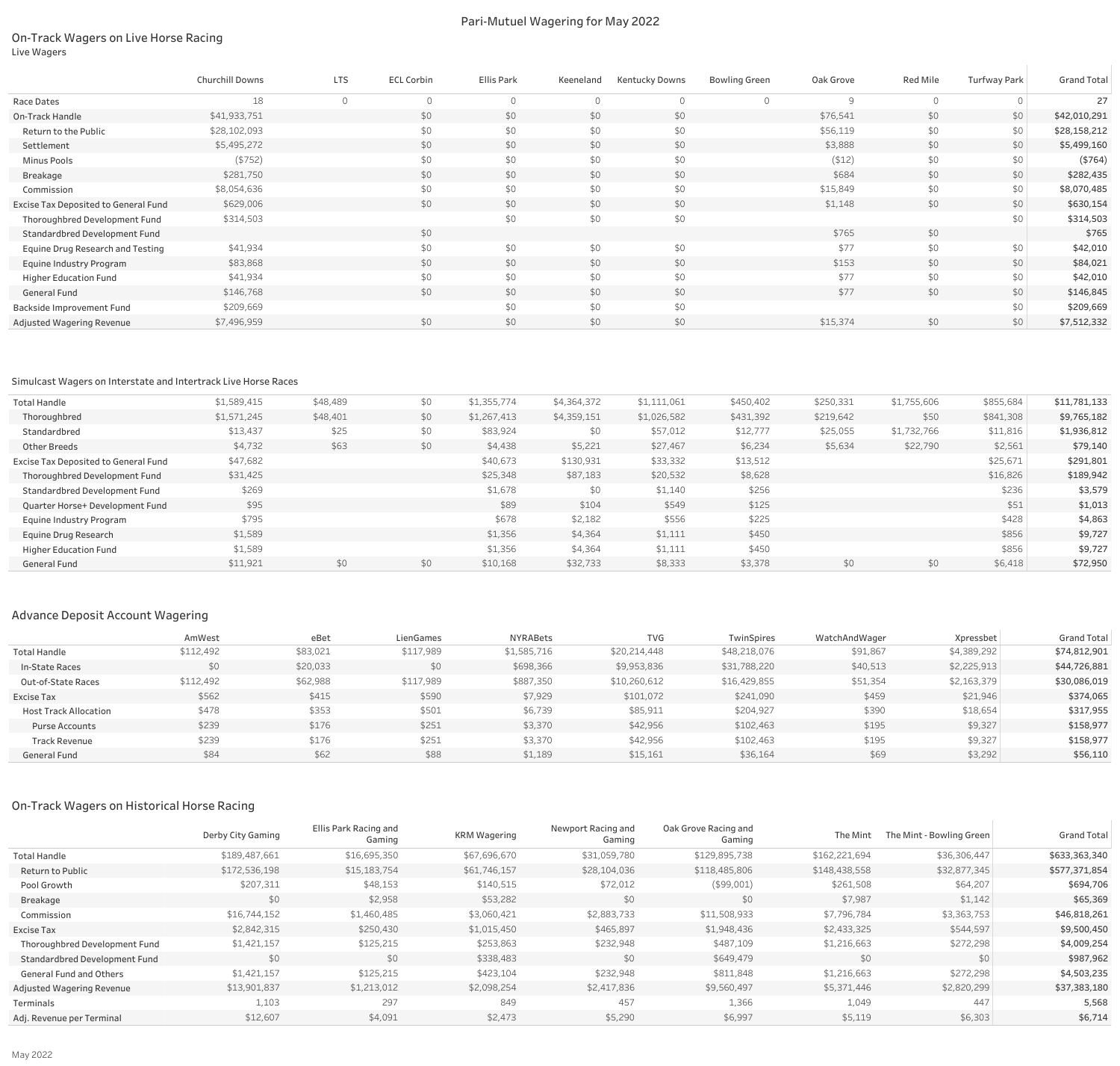## On-Track Wagers on Live Horse Racing Live Wagers

# Pari-Mutuel Wagering for May 2022

| <b>Red Mile</b> | <b>Turfway Park</b> | <b>Grand Total</b> |
|-----------------|---------------------|--------------------|
| $\mathcal{O}$   | $\mathcal{O}$       | 27                 |
| \$0             | \$0                 | \$42,010,291       |
| \$0             | \$0                 | \$28,158,212       |
| \$0             | \$0                 | \$5,499,160        |
| \$0             | \$0                 | ( \$764)           |
| \$0             | \$0                 | \$282,435          |
| \$0             | \$0                 | \$8,070,485        |
| \$0             | \$0                 | \$630,154          |
|                 | \$0                 | \$314,503          |
| \$0             |                     | \$765              |
| \$0             | \$0                 | \$42,010           |
| \$0             | \$0                 | \$84,021           |
| \$0             | \$0                 | \$42,010           |
| \$0             | \$0                 | \$146,845          |
|                 | \$0                 | \$209,669          |
| \$0             | \$0                 | \$7,512,332        |

|                                      | Churchill Downs | <b>LTS</b> | <b>ECL Corbin</b> | Ellis Park | Keeneland | <b>Kentucky Downs</b> | <b>Bowling Green</b> | Oak Grove | Red Mile | <b>Turfway Park</b> | <b>Grand Total</b> |
|--------------------------------------|-----------------|------------|-------------------|------------|-----------|-----------------------|----------------------|-----------|----------|---------------------|--------------------|
| Race Dates                           | 18              |            | $\Omega$          |            | $\cap$    | $\Omega$              |                      | $\Omega$  | $\Omega$ |                     | 27                 |
| On-Track Handle                      | \$41,933,751    |            | \$0               | \$0        | \$0       | \$0                   |                      | \$76,541  | \$0      | \$0                 | \$42,010,291       |
| Return to the Public                 | \$28,102,093    |            | \$0               | \$0        | \$0       | \$0                   |                      | \$56,119  | \$0      | \$0                 | \$28,158,212       |
| Settlement                           | \$5,495,272     |            | \$0               | \$0        | \$0       | \$0                   |                      | \$3,888   | \$0      | \$0                 | \$5,499,160        |
| Minus Pools                          | (\$752)         |            | \$0               | \$0        | \$0       | \$0                   |                      | $($ \$12) | \$0      | \$0                 | ( \$764)           |
| Breakage                             | \$281,750       |            | \$0               | \$0        | \$0       | \$0                   |                      | \$684     | \$0      | \$0                 | \$282,435          |
| Commission                           | \$8,054,636     |            | \$0               | \$0        | \$0       | \$0                   |                      | \$15,849  | \$0      | \$0                 | \$8,070,485        |
| Excise Tax Deposited to General Fund | \$629,006       |            | \$0               | \$0        | \$0       | \$0                   |                      | \$1,148   | \$0      | \$0                 | \$630,154          |
| Thoroughbred Development Fund        | \$314,503       |            |                   | \$0        | \$0       | \$0                   |                      |           |          | \$0                 | \$314,503          |
| Standardbred Development Fund        |                 |            | \$0               |            |           |                       |                      | \$765     | \$0      |                     | \$765              |
| Equine Drug Research and Testing     | \$41,934        |            | \$0               | \$0        | \$0       | \$0                   |                      | \$77      | \$0      | \$0                 | \$42,010           |
| Equine Industry Program              | \$83,868        |            | \$0               | \$0        | \$0       | \$0                   |                      | \$153     | \$0      | \$0                 | \$84,021           |
| <b>Higher Education Fund</b>         | \$41,934        |            | \$0               | \$0        | \$0       | \$0                   |                      | \$77      | \$0      | \$0                 | \$42,010           |
| General Fund                         | \$146,768       |            | \$0               | \$0        | \$0       | \$0                   |                      | \$77      | \$0      | \$0                 | \$146,845          |
| Backside Improvement Fund            | \$209,669       |            |                   | \$0        | \$0       | \$0                   |                      |           |          | \$0                 | \$209,669          |
| Adjusted Wagering Revenue            | \$7,496,959     |            | \$0               | \$0        | \$0       | \$0                   |                      | \$15,374  | \$0      | \$0\$               | \$7,512,332        |

### Simulcast Wagers on Interstate and Intertrack Live Horse Races

| <b>Total Handle</b>                  | \$1,589,415 | \$48,489 | \$0 | \$1,355,774 | \$4,364,372 | \$1,111,061 | \$450,402 | \$250,331 | \$1,755,606 | \$855,684 | \$11,781,133 |
|--------------------------------------|-------------|----------|-----|-------------|-------------|-------------|-----------|-----------|-------------|-----------|--------------|
| Thoroughbred                         | \$1,571,245 | \$48,401 | \$0 | \$1,267,413 | \$4,359,151 | \$1,026,582 | \$431,392 | \$219,642 | \$50        | \$841,308 | \$9,765,182  |
| Standardbred                         | \$13,437    | \$25     | \$0 | \$83,924    | \$0         | \$57,012    | \$12,777  | \$25,055  | \$1,732,766 | \$11,816  | \$1,936,812  |
| <b>Other Breeds</b>                  | \$4,732     | \$63     | \$0 | \$4,438     | \$5,221     | \$27,467    | \$6,234   | \$5,634   | \$22,790    | \$2,561   | \$79,140     |
| Excise Tax Deposited to General Fund | \$47,682    |          |     | \$40,673    | \$130,931   | \$33,332    | \$13,512  |           |             | \$25,671  | \$291,801    |
| Thoroughbred Development Fund        | \$31,425    |          |     | \$25,348    | \$87,183    | \$20,532    | \$8,628   |           |             | \$16,826  | \$189,942    |
| Standardbred Development Fund        | \$269       |          |     | \$1,678     | \$0         | \$1,140     | \$256     |           |             | \$236     | \$3,579      |
| Quarter Horse+ Development Fund      | \$95        |          |     | \$89        | \$104       | \$549       | \$125     |           |             | \$51      | \$1,013      |
| Equine Industry Program              | \$795       |          |     | \$678       | \$2,182     | \$556       | \$225     |           |             | \$428     | \$4,863      |
| Equine Drug Research                 | \$1,589     |          |     | \$1,356     | \$4,364     | \$1,111     | \$450     |           |             | \$856     | \$9,727      |
| <b>Higher Education Fund</b>         | \$1,589     |          |     | \$1,356     | \$4,364     | \$1,111     | \$450     |           |             | \$856     | \$9,727      |
| General Fund                         | \$11,921    | \$0      | \$0 | \$10,168    | \$32,733    | \$8,333     | \$3,378   | \$0       | \$0         | \$6,418   | \$72,950     |

# Advance Deposit Account Wagering

|                              | AmWest    | eBet     | LienGames | NYRABets    | <b>TVG</b>   | TwinSpires   | WatchAndWager | Xpressbet   | <b>Grand Total</b> |
|------------------------------|-----------|----------|-----------|-------------|--------------|--------------|---------------|-------------|--------------------|
| <b>Total Handle</b>          | \$112,492 | \$83,021 | \$117,989 | \$1,585,716 | \$20,214,448 | \$48,218,076 | \$91,867      | \$4,389,292 | \$74,812,901       |
| In-State Races               | \$0       | \$20,033 | \$0       | \$698,366   | \$9,953,836  | \$31,788,220 | \$40,513      | \$2,225,913 | \$44,726,881       |
| Out-of-State Races           | \$112,492 | \$62,988 | \$117,989 | \$887,350   | \$10,260,612 | \$16,429,855 | \$51,354      | \$2,163,379 | \$30,086,019       |
| Excise Tax                   | \$562     | \$415    | \$590     | \$7,929     | \$101,072    | \$241,090    | \$459         | \$21,946    | \$374,065          |
| <b>Host Track Allocation</b> | \$478     | \$353    | \$501     | \$6,739     | \$85,911     | \$204,927    | \$390         | \$18,654    | \$317,955          |
| <b>Purse Accounts</b>        | \$239     | \$176    | \$251     | \$3,370     | \$42,956     | \$102,463    | \$195         | \$9,327     | \$158,977          |
| <b>Track Revenue</b>         | \$239     | \$176    | \$251     | \$3,370     | \$42,956     | \$102,463    | \$195         | \$9,327     | \$158,977          |
| General Fund                 | \$84      | \$62     | \$88      | \$1,189     | \$15,161     | \$36,164     | \$69          | \$3,292     | \$56,110           |

# On-Track Wagers on Historical Horse Racing

|                                | Derby City Gaming | Ellis Park Racing and<br>Gaming | <b>KRM Wagering</b> | Newport Racing and<br>Gaming | Oak Grove Racing and<br>Gaming | The Mint      | The Mint - Bowling Green | <b>Grand Total</b> |
|--------------------------------|-------------------|---------------------------------|---------------------|------------------------------|--------------------------------|---------------|--------------------------|--------------------|
| <b>Total Handle</b>            | \$189,487,661     | \$16,695,350                    | \$67,696,670        | \$31,059,780                 | \$129,895,738                  | \$162,221,694 | \$36,306,447             | \$633,363,340      |
| Return to Public               | \$172,536,198     | \$15,183,754                    | \$61,746,157        | \$28,104,036                 | \$118,485,806                  | \$148,438,558 | \$32,877,345             | \$577,371,854      |
| Pool Growth                    | \$207,311         | \$48,153                        | \$140,515           | \$72,012                     | (\$99,001)                     | \$261,508     | \$64,207                 | \$694,706          |
| Breakage                       | \$0               | \$2,958                         | \$53,282            | \$0                          | \$0                            | \$7,987       | \$1,142                  | \$65,369           |
| Commission                     | \$16,744,152      | \$1,460,485                     | \$3,060,421         | \$2,883,733                  | \$11,508,933                   | \$7,796,784   | \$3,363,753              | \$46,818,261       |
| Excise Tax                     | \$2,842,315       | \$250,430                       | \$1,015,450         | \$465,897                    | \$1,948,436                    | \$2,433,325   | \$544,597                | \$9,500,450        |
| Thoroughbred Development Fund  | \$1,421,157       | \$125,215                       | \$253,863           | \$232,948                    | \$487,109                      | \$1,216,663   | \$272,298                | \$4,009,254        |
| Standardbred Development Fund  | \$0               | \$0                             | \$338,483           | \$0                          | \$649,479                      | \$0           | \$0                      | \$987,962          |
| <b>General Fund and Others</b> | \$1,421,157       | \$125,215                       | \$423,104           | \$232,948                    | \$811,848                      | \$1,216,663   | \$272,298                | \$4,503,235        |
| Adjusted Wagering Revenue      | \$13,901,837      | \$1,213,012                     | \$2,098,254         | \$2,417,836                  | \$9,560,497                    | \$5,371,446   | \$2,820,299              | \$37,383,180       |
| Terminals                      | 1,103             | 297                             | 849                 | 457                          | 1,366                          | 1,049         | 447                      | 5,568              |
| Adj. Revenue per Terminal      | \$12,607          | \$4,091                         | \$2,473             | \$5,290                      | \$6,997                        | \$5,119       | \$6,303                  | \$6,714            |